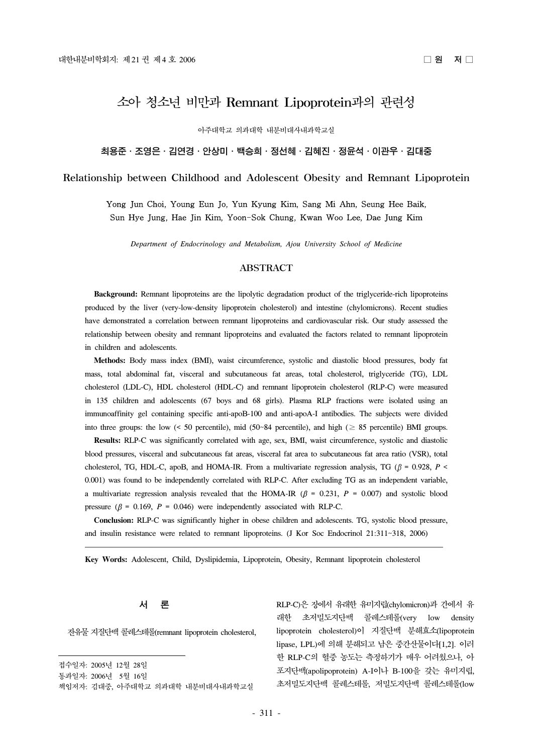# 소아 청소년 비만과 Remnant Lipoprotein과의 관련성

아주대학교 의과대학 내분비대사내과학교실

# 최용준․조영은․김연경․안상미․백승희․정선혜․김혜진․정윤석․이관우․김대중

#### Relationship between Childhood and Adolescent Obesity and Remnant Lipoprotein

# Yong Jun Choi, Young Eun Jo, Yun Kyung Kim, Sang Mi Ahn, Seung Hee Baik, Sun Hye Jung, Hae Jin Kim, Yoon-Sok Chung, Kwan Woo Lee, Dae Jung Kim

*Department of Endocrinology and Metabolism, Ajou University School of Medicine*

#### ABSTRACT

**Background:** Remnant lipoproteins are the lipolytic degradation product of the triglyceride-rich lipoproteins produced by the liver (very-low-density lipoprotein cholesterol) and intestine (chylomicrons). Recent studies have demonstrated a correlation between remnant lipoproteins and cardiovascular risk. Our study assessed the relationship between obesity and remnant lipoproteins and evaluated the factors related to remnant lipoprotein in children and adolescents.

**Methods:** Body mass index (BMI), waist circumference, systolic and diastolic blood pressures, body fat mass, total abdominal fat, visceral and subcutaneous fat areas, total cholesterol, triglyceride (TG), LDL cholesterol (LDL-C), HDL cholesterol (HDL-C) and remnant lipoprotein cholesterol (RLP-C) were measured in 135 children and adolescents (67 boys and 68 girls). Plasma RLP fractions were isolated using an immunoaffinity gel containing specific anti-apoB-100 and anti-apoA-I antibodies. The subjects were divided into three groups: the low (< 50 percentile), mid (50~84 percentile), and high ( $\geq 85$  percentile) BMI groups.

**Results:** RLP-C was significantly correlated with age, sex, BMI, waist circumference, systolic and diastolic blood pressures, visceral and subcutaneous fat areas, visceral fat area to subcutaneous fat area ratio (VSR), total cholesterol, TG, HDL-C, apoB, and HOMA-IR. From a multivariate regression analysis, TG ( $\beta$  = 0.928, P < 0.001) was found to be independently correlated with RLP-C. After excluding TG as an independent variable, a multivariate regression analysis revealed that the HOMA-IR ( $\beta$  = 0.231, *P* = 0.007) and systolic blood pressure ( $\beta$  = 0.169,  $P$  = 0.046) were independently associated with RLP-C.

**Conclusion:** RLP-C was significantly higher in obese children and adolescents. TG, systolic blood pressure, and insulin resistance were related to remnant lipoproteins. (J Kor Soc Endocrinol 21:311~318, 2006)

**Key Words:** Adolescent, Child, Dyslipidemia, Lipoprotein, Obesity, Remnant lipoprotein cholesterol

#### 서 론

잔유물 지질단백 콜레스테롤(remnant lipoprotein cholesterol,

접수일자: 2005년 12월 28일 통과일자: 2006년 5월 16일 책임저자: 김대중, 아주대학교 의과대학 내분비대사내과학교실 RLP-C)은 장에서 유래한 유미지립(chylomicron)과 간에서 유 래한 초저밀도지단백 콜레스테롤(very low density lipoprotein cholesterol)이 지질단백 분해효소(lipoprotein lipase, LPL)에 의해 분해되고 남은 중간산물이다[1,2]. 이러 한 RLP-C의 혈중 농도는 측정하기가 매우 어려웠으나, 아 포지단백(apolipoprotein) A-I이나 B-100을 갖는 유미지립, 초저밀도지단백 콜레스테롤, 저밀도지단백 콜레스테롤(low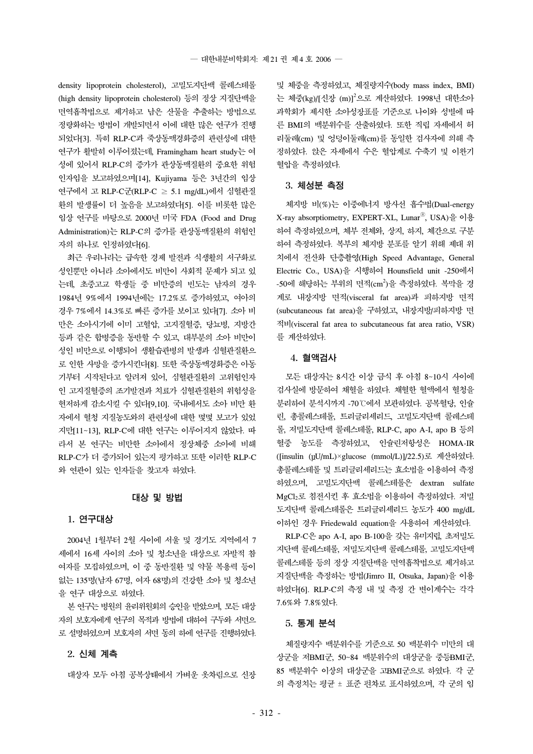density lipoprotein cholesterol), 고밀도지단백 콜레스테롤 (high density lipoprotein cholesterol) 등의 정상 지질단백을 면역흡착법으로 제거하고 남은 산물을 추출하는 방법으로 정량화하는 방법이 개발되면서 이에 대한 많은 연구가 진행 되었다[3]. 특히 RLP-C과 죽상동맥경화증의 관련성에 대한 연구가 활발히 이루어졌는데, Framingham heart study는 여 성에 있어서 RLP-C의 증가가 관상동맥질환의 중요한 위험 인자임을 보고하였으며[14], Kujiyama 등은 3년간의 임상 연구에서 고 RLP-C군(RLP-C ≥ 5.1 mg/dL)에서 심혈관질 환의 발생률이 더 높음을 보고하였다[5]. 이를 비롯한 많은 임상 연구를 바탕으로 2000년 미국 FDA (Food and Drug Administration)는 RLP-C의 증가를 관상동맥질환의 위험인 자의 하나로 인정하였다[6].

최근 우리나라는 급속한 경제 발전과 식생활의 서구화로 성인뿐만 아니라 소아에서도 비만이 사회적 문제가 되고 있 는데, 초중고교 학생들 중 비만증의 빈도는 남자의 경우 1984년 9%에서 1994년에는 17.2%로 증가하였고, 여아의 경우 7%에서 14.3%로 빠른 증가를 보이고 있다[7]. 소아 비 만은 소아시기에 이미 고혈압, 고지질혈증, 당뇨병, 지방간 등과 같은 합병증을 동반할 수 있고, 대부분의 소아 비만이 성인 비만으로 이행되어 생활습관병의 발생과 심혈관질환으 로 인한 사망을 증가시킨다[8]. 또한 죽상동맥경화증은 아동 기부터 시작된다고 알려져 있어, 심혈관질환의 고위험인자 인 고지질혈증의 조기발견과 치료가 심혈관질환의 위험성을 현저하게 감소시킬 수 있다[9,10]. 국내에서도 소아 비만 환 자에서 혈청 지질농도와의 관련성에 대한 몇몇 보고가 있었 지만[11~13], RLP-C에 대한 연구는 이루어지지 않았다. 따 라서 본 연구는 비만한 소아에서 정상체중 소아에 비해 RLP-C가 더 증가되어 있는지 평가하고 또한 이러한 RLP-C 와 연관이 있는 인자들을 찾고자 하였다.

#### 대상 및 방법

#### 1. 연구대상

2004년 1월부터 2월 사이에 서울 및 경기도 지역에서 7 세에서 16세 사이의 소아 및 청소년을 대상으로 자발적 참 여자를 모집하였으며, 이 중 동반질환 및 약물 복용력 등이 없는 135명(남자 67명, 여자 68명)의 건강한 소아 및 청소년 을 연구 대상으로 하였다.

본 연구는 병원의 윤리위원회의 승인을 받았으며, 모든 대상 자의 보호자에게 연구의 목적과 방법에 대하여 구두와 서면으 로 설명하였으며 보호자의 서면 동의 하에 연구를 진행하였다.

# 2. 신체 계측

대상자 모두 아침 공복상태에서 가벼운 옷차림으로 신장

및 체중을 측정하였고, 체질량지수(body mass index, BMI) 는 체중(kg)/[신장 (m)]<sup>2</sup>으로 계산하였다. 1998년 대한소아 과학회가 제시한 소아성장표를 기준으로 나이와 성별에 따 른 BMI의 백분위수를 산출하였다. 또한 직립 자세에서 허 리둘레(cm) 및 엉덩이둘레(cm)를 동일한 검사자에 의해 측 정하였다. 앉은 자세에서 수은 혈압계로 수축기 및 이완기 혈압을 측정하였다.

#### 3. 체성분 측정

체지방 비(%)는 이중에너지 방사선 흡수법(Dual-energy X-ray absorptiometry, EXPERT-XL, LunarⓇ, USA)을 이용 하여 측정하였으며, 체부 전체와, 상지, 하지, 체간으로 구분 하여 측정하였다. 복부의 체지방 분포를 알기 위해 제대 위 치에서 전산화 단층촬영(High Speed Advantage, General Electric Co., USA)을 시행하여 Hounsfield unit -250에서 -50에 해당하는 부위의 면적(cm<sup>2</sup>)을 측정하였다. 복막을 경 계로 내장지방 면적(visceral fat area)과 피하지방 면적 (subcutaneous fat area)을 구하였고, 내장지방/피하지방 면 적비(visceral fat area to subcutaneous fat area ratio, VSR) 를 계산하였다.

# 4. 혈액검사

모든 대상자는 8시간 이상 금식 후 아침 8~10시 사이에 검사실에 방문하여 채혈을 하였다. 채혈한 혈액에서 혈청을 분리하여 분석시까지 -70℃에서 보관하였다. 공복혈당, 인슐 린, 총콜레스테롤, 트리글리세리드, 고밀도지단백 콜레스테 롤, 저밀도지단백 콜레스테롤, RLP-C, apo A-I, apo B 등의 혈중 농도를 측정하였고, 인슐린저항성은 HOMA-IR ([insulin ( U/mL) × glucose (mmol/L)]/22.5)로 계산하였다. 총콜레스테롤 및 트리글리세리드는 효소법을 이용하여 측정 하였으며, 고밀도지단백 콜레스테롤은 dextran sulfate MgCl2로 침전시킨 후 효소법을 이용하여 측정하였다. 저밀 도지단백 콜레스테롤은 트리글리세리드 농도가 400 mg/dL 이하인 경우 Friedewald equation을 사용하여 계산하였다.

RLP-C은 apo A-I, apo B-100을 갖는 유미지립, 초저밀도 지단백 콜레스테롤, 저밀도지단백 콜레스테롤, 고밀도지단백 콜레스테롤 등의 정상 지질단백을 면역흡착법으로 제거하고 지질단백을 측정하는 방법(Jimro II, Otsuka, Japan)을 이용 하였다[6]. RLP-C의 측정 내 및 측정 간 변이계수는 각각 7.6%와 7.8%였다.

### 5. 통계 분석

체질량지수 백분위수를 기준으로 50 백분위수 미만의 대 상군을 저BMI군, 50~84 백분위수의 대상군을 중등BMI군, 85 백분위수 이상의 대상군을 고BMI군으로 하였다. 각 군 의 측정치는 평균 ± 표준 편차로 표시하였으며, 각 군의 임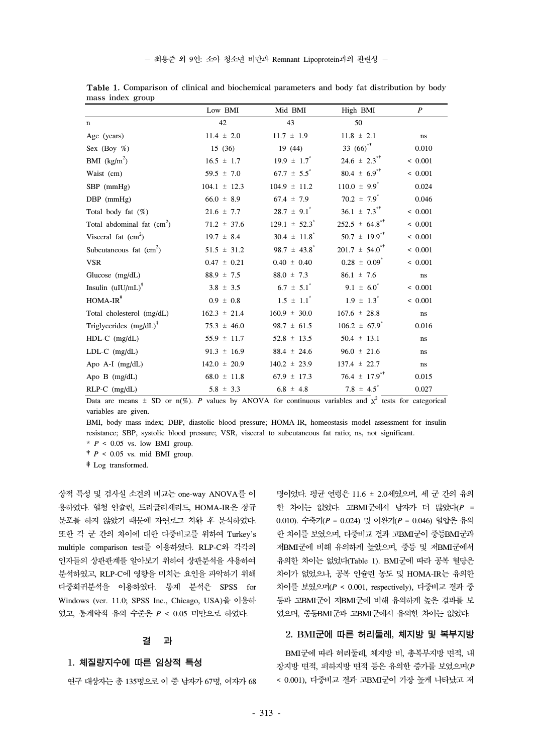- 최용준 외 9인: 소아 청소년 비만과 Remnant Lipoprotein과의 관련성 -

|                                   | Low BMI          | Mid BMI                      | High BMI                       | P                   |
|-----------------------------------|------------------|------------------------------|--------------------------------|---------------------|
| $\mathbf n$                       | 42               | 43                           | 50                             |                     |
| Age (years)                       | $11.4 \pm 2.0$   | $11.7 \pm 1.9$               | $11.8 \pm 2.1$                 | ns                  |
| Sex (Boy $%$ )                    | 15(36)           | 19(44)                       | 33 $(66)^{4}$                  | 0.010               |
| BMI $(kg/m2)$                     | $16.5 \pm 1.7$   | $19.9 \pm 1.7$               | $24.6 \pm 2.3$ <sup>**</sup>   | < 0.001             |
| Waist (cm)                        | $59.5 \pm 7.0$   | $67.7 \pm 5.5$               | $80.4 \pm 6.9^{*+}$            | < 0.001             |
| $SBP$ (mmHg)                      | $104.1 \pm 12.3$ | $104.9 \pm 11.2$             | $110.0 \pm 9.9$ <sup>*</sup>   | 0.024               |
| $DBP$ (mmHg)                      | $66.0 \pm 8.9$   | $67.4 \pm 7.9$               | 70.2 $\pm 7.9$ <sup>*</sup>    | 0.046               |
| Total body fat $(\%)$             | $21.6 \pm 7.7$   | $28.7 \pm 9.1$ <sup>*</sup>  | $36.1 \pm 7.3$ <sup>**</sup>   | < 0.001             |
| Total abdominal fat $(cm2)$       | $71.2 \pm 37.6$  | $129.1 \pm 52.3$             | $252.5 \pm 64.8^{\ast\dagger}$ | < 0.001             |
| Visceral fat $(cm2)$              | $19.7 \pm 8.4$   | $30.4 \pm 11.8$ <sup>*</sup> | $50.7 \pm 19.9^{*+}$           | < 0.001             |
| Subcutaneous fat $(cm2)$          | $51.5 \pm 31.2$  | 98.7 $\pm$ 43.8 <sup>*</sup> | $201.7 \pm 54.0^{*+}$          | < 0.001             |
| <b>VSR</b>                        | $0.47 \pm 0.21$  | $0.40 \pm 0.40$              | $0.28 \pm 0.09$ <sup>*</sup>   | < 0.001             |
| Glucose $(mg/dL)$                 | $88.9 \pm 7.5$   | $88.0 \pm 7.3$               | $86.1 \pm 7.6$                 | ns                  |
| Insulin $(uIU/mL)^*$              | $3.8 \pm 3.5$    | $6.7 \pm 5.1$                | $9.1 \pm 6.0^*$                | < 0.001             |
| $HOMA-IR^*$                       | $0.9 \pm 0.8$    | $1.5 \pm 1.1$ <sup>*</sup>   | $1.9 \pm 1.3$                  | < 0.001             |
| Total cholesterol (mg/dL)         | $162.3 \pm 21.4$ | $160.9 \pm 30.0$             | $167.6 \pm 28.8$               | $\operatorname{ns}$ |
| Triglycerides $(mg/dL)^{\dagger}$ | $75.3 \pm 46.0$  | $98.7 \pm 61.5$              | $106.2 \pm 67.9$ <sup>*</sup>  | 0.016               |
| $HDL-C$ (mg/dL)                   | $55.9 \pm 11.7$  | $52.8 \pm 13.5$              | $50.4 \pm 13.1$                | ns.                 |
| $LDL-C$ (mg/dL)                   | $91.3 \pm 16.9$  | $88.4 \pm 24.6$              | $96.0 \pm 21.6$                | ns                  |
| Apo A-I (mg/dL)                   | $142.0 \pm 20.9$ | $140.2 \pm 23.9$             | $137.4 \pm 22.7$               | $\operatorname{ns}$ |
| Apo $B$ (mg/dL)                   | $68.0 \pm 11.8$  | $67.9 \pm 17.3$              | 76.4 $\pm$ 17.9 <sup>**</sup>  | 0.015               |
| $RLP-C$ (mg/dL)                   | $5.8 \pm 3.3$    | $6.8 \pm 4.8$                | 7.8 $\pm$ 4.5 <sup>*</sup>     | 0.027               |

Table 1. Comparison of clinical and biochemical parameters and body fat distribution by body mass index group

Data are means  $\pm$  SD or n(%). *P* values by ANOVA for continuous variables and  $x^2$  tests for categorical variables are given.

BMI, body mass index; DBP, diastolic blood pressure; HOMA-IR, homeostasis model assessment for insulin resistance; SBP, systolic blood pressure; VSR, visceral to subcutaneous fat ratio; ns, not significant.

 $*$   $P < 0.05$  vs. low BMI group.

†*P* < 0.05 vs. mid BMI group.

‡Log transformed.

상적 특성 및 검사실 소견의 비교는 one-way ANOVA를 이 용하였다. 혈청 인슐린, 트리글리세리드, HOMA-IR은 정규 분포를 하지 않았기 때문에 자연로그 치환 후 분석하였다. 또한 각 군 간의 차이에 대한 다중비교를 위하여 Turkey's multiple comparison test를 이용하였다. RLP-C와 각각의 인자들의 상관관계를 알아보기 위하여 상관분석을 사용하여 분석하였고, RLP-C에 영향을 미치는 요인을 파악하기 위해 다중회귀분석을 이용하였다. 통계 분석은 SPSS for Windows (ver. 11.0; SPSS Inc., Chicago, USA)을 이용하 였고, 통계학적 유의 수준은 *P* < 0.05 미만으로 하였다.

### 결 과

# 1. 체질량지수에 따른 임상적 특성

연구 대상자는 총 135명으로 이 중 남자가 67명, 여자가 68

명이었다. 평균 연령은 11.6 ± 2.0세였으며, 세 군 간의 유의 한 차이는 없었다. 고BMI군에서 남자가 더 많았다(*P* = 0.010). 수축기(*P* = 0.024) 및 이완기(*P* = 0.046) 혈압은 유의 한 차이를 보였으며, 다중비교 결과 고BMI군이 중등BMI군과 저BMI군에 비해 유의하게 높았으며, 중등 및 저BMI군에서 유의한 차이는 없었다(Table 1). BMI군에 따라 공복 혈당은 차이가 없었으나, 공복 인슐린 농도 및 HOMA-IR는 유의한 차이를 보였으며(*P* < 0.001, respectively), 다중비교 결과 중 등과 고BMI군이 저BMI군에 비해 유의하게 높은 결과를 보 였으며, 중등BMI군과 고BMI군에서 유의한 차이는 없었다.

# 2. BMI군에 따른 허리둘레, 체지방 및 복부지방

BMI군에 따라 허리둘레, 체지방 비, 총복부지방 면적, 내 장지방 면적, 피하지방 면적 등은 유의한 증가를 보였으며(*P* < 0.001), 다중비교 결과 고BMI군이 가장 높게 나타났고 저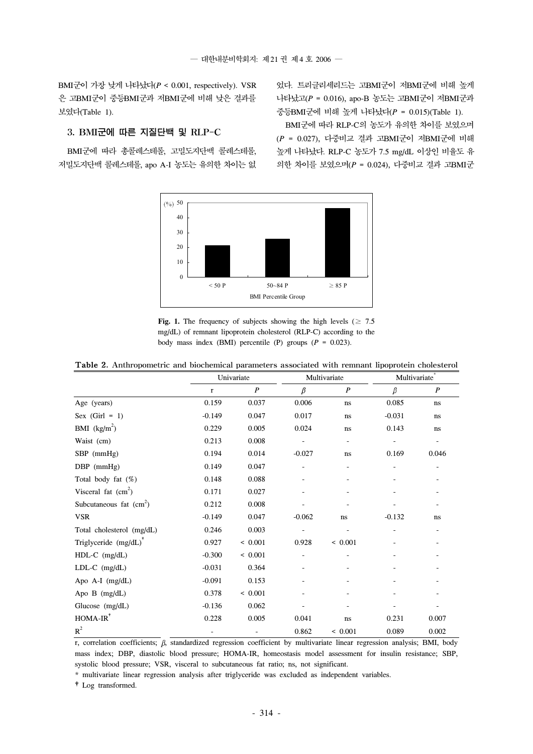BMI군이 가장 낮게 나타났다(*P* < 0.001, respectively). VSR 은 고BMI군이 중등BMI군과 저BMI군에 비해 낮은 결과를 보였다(Table 1).

었다. 트리글리세리드는 고BMI군이 저BMI군에 비해 높게 나타났고(*P* = 0.016), apo-B 농도는 고BMI군이 저BMI군과 중등BMI군에 비해 높게 나타났다(*P* = 0.015)(Table 1).

BMI군에 따라 RLP-C의 농도가 유의한 차이를 보였으며 (*P* = 0.027), 다중비교 결과 고BMI군이 저BMI군에 비해 높게 나타났다. RLP-C 농도가 7.5 mg/dL 이상인 비율도 유 의한 차이를 보였으며(*P* = 0.024), 다중비교 결과 고BMI군

# 3. BMI군에 따른 지질단백 및 RLP-C

BMI군에 따라 총콜레스테롤, 고밀도지단백 콜레스테롤, 저밀도지단백 콜레스테롤, apo A-I 농도는 유의한 차이는 없



**Fig. 1.** The frequency of subjects showing the high levels ( $\geq 7.5$ mg/dL) of remnant lipoprotein cholesterol (RLP-C) according to the body mass index (BMI) percentile (P) groups (*P* = 0.023).

|  |  |  | <b>Table 2.</b> Anthropometric and biochemical parameters associated with remnant lipoprotein cholesterol |  |  |  |
|--|--|--|-----------------------------------------------------------------------------------------------------------|--|--|--|
|--|--|--|-----------------------------------------------------------------------------------------------------------|--|--|--|

|                                   |          | Univariate |          | Multivariate     |          | Multivariate*    |  |
|-----------------------------------|----------|------------|----------|------------------|----------|------------------|--|
|                                   | r        | P          | β        | $\boldsymbol{P}$ | $\beta$  | $\boldsymbol{P}$ |  |
| Age (years)                       | 0.159    | 0.037      | 0.006    | ns               | 0.085    | ns               |  |
| Sex $(Girl = 1)$                  | $-0.149$ | 0.047      | 0.017    | ns               | $-0.031$ | ns               |  |
| BMI $(kg/m2)$                     | 0.229    | 0.005      | 0.024    | ns               | 0.143    | ns               |  |
| Waist (cm)                        | 0.213    | 0.008      |          |                  |          |                  |  |
| SBP (mmHg)                        | 0.194    | 0.014      | $-0.027$ | ns               | 0.169    | 0.046            |  |
| $DBP$ (mmHg)                      | 0.149    | 0.047      |          |                  |          |                  |  |
| Total body fat $(\%)$             | 0.148    | 0.088      |          |                  |          |                  |  |
| Visceral fat $(cm2)$              | 0.171    | 0.027      |          |                  |          |                  |  |
| Subcutaneous fat $(cm2)$          | 0.212    | 0.008      |          |                  |          |                  |  |
| <b>VSR</b>                        | $-0.149$ | 0.047      | $-0.062$ | ns               | $-0.132$ | ns               |  |
| Total cholesterol (mg/dL)         | 0.246    | 0.003      |          |                  |          |                  |  |
| Triglyceride (mg/dL) <sup>T</sup> | 0.927    | < 0.001    | 0.928    | < 0.001          |          |                  |  |
| $HDL-C$ (mg/dL)                   | $-0.300$ | < 0.001    |          |                  |          |                  |  |
| $LDL-C$ (mg/dL)                   | $-0.031$ | 0.364      |          |                  |          |                  |  |
| Apo $A-I$ (mg/dL)                 | $-0.091$ | 0.153      |          |                  |          |                  |  |
| Apo $B$ (mg/dL)                   | 0.378    | < 0.001    |          |                  |          |                  |  |
| Glucose (mg/dL)                   | $-0.136$ | 0.062      |          |                  |          |                  |  |
| $HOMA-IR$ <sup>*</sup>            | 0.228    | 0.005      | 0.041    | ns               | 0.231    | 0.007            |  |
| $R^2$                             |          |            | 0.862    | < 0.001          | 0.089    | 0.002            |  |

r, correlation coefficients;  $\beta$ , standardized regression coefficient by multivariate linear regression analysis; BMI, body mass index; DBP, diastolic blood pressure; HOMA-IR, homeostasis model assessment for insulin resistance; SBP, systolic blood pressure; VSR, visceral to subcutaneous fat ratio; ns, not significant.

\* multivariate linear regression analysis after triglyceride was excluded as independent variables.

†Log transformed.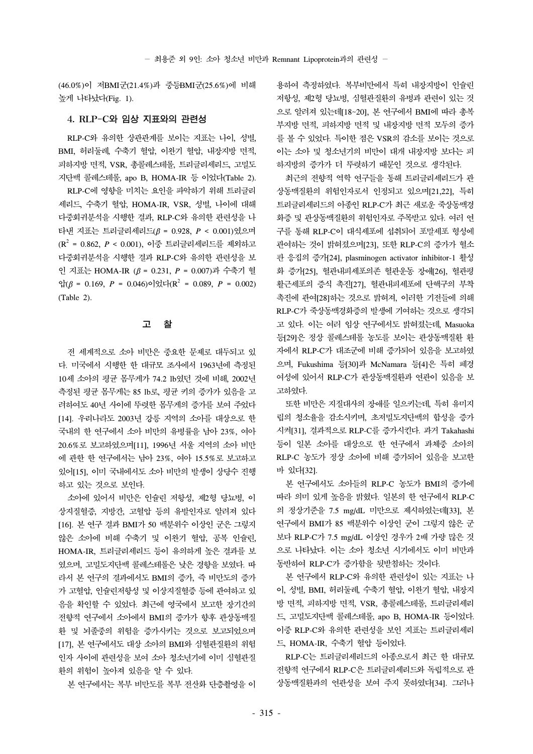(46.0%)이 저BMI군(21.4%)과 중등BMI군(25.6%)에 비해 높게 나타났다(Fig. 1).

### 4. RLP-C와 임상 지표와의 관련성

RLP-C와 유의한 상관관계를 보이는 지표는 나이, 성별, BMI, 허리둘레, 수축기 혈압, 이완기 혈압, 내장지방 면적, 피하지방 면적, VSR, 총콜레스테롤, 트리글리세리드, 고밀도 지단백 콜레스테롤, apo B, HOMA-IR 등 이었다(Table 2).

RLP-C에 영향을 미치는 요인을 파악하기 위해 트리글리 세리드, 수축기 혈압, HOMA-IR, VSR, 성별, 나이에 대해 다중회귀분석을 시행한 결과, RLP-C와 유의한 관련성을 나 타낸 지표는 트리글리세리드( $\beta$  = 0.928,  $P < 0.001$ )였으며 (R2 = 0.862, *P* < 0.001), 이중 트리글리세리드를 제외하고 다중회귀분석을 시행한 결과 RLP-C와 유의한 관련성을 보 인 지표는 HOMA-IR ( = 0.231, *P* = 0.007)과 수축기 혈 압 $( \beta = 0.169, P = 0.046)$ 이었다( $R^2 = 0.089, P = 0.002$ ) (Table 2).

#### 고 찰

전 세계적으로 소아 비만은 중요한 문제로 대두되고 있 다. 미국에서 시행한 한 대규모 조사에서 1963년에 측정된 10세 소아의 평균 몸무게가 74.2 lb였던 것에 비해, 2002년 측정된 평균 몸무게는 85 lb로, 평균 키의 증가가 있음을 고 려하여도 40년 사이에 뚜렷한 몸무게의 증가를 보여 주었다 [14]. 우리나라도 2003년 강릉 지역의 소아를 대상으로 한 국내의 한 연구에서 소아 비만의 유병률을 남아 23%, 여아 20.6%로 보고하였으며[11], 1996년 서울 지역의 소아 비만 에 관한 한 연구에서는 남아 23%, 여아 15.5%로 보고하고 있어[15], 이미 국내에서도 소아 비만의 발생이 상당수 진행 하고 있는 것으로 보인다.

소아에 있어서 비만은 인슐린 저항성, 제2형 당뇨병, 이 상지질혈증, 지방간, 고혈압 등의 유발인자로 알려져 있다 [16]. 본 연구 결과 BMI가 50 백분위수 이상인 군은 그렇지 않은 소아에 비해 수축기 및 이완기 혈압, 공복 인슐린, HOMA-IR, 트리글리세리드 등이 유의하게 높은 결과를 보 였으며, 고밀도지단백 콜레스테롤은 낮은 경향을 보였다. 따 라서 본 연구의 결과에서도 BMI의 증가, 즉 비만도의 증가 가 고혈압, 인슐린저항성 및 이상지질혈증 등에 관여하고 있 음을 확인할 수 있었다. 최근에 영국에서 보고한 장기간의 전향적 연구에서 소아에서 BMI의 증가가 향후 관상동맥질 환 및 뇌졸중의 위험을 증가시키는 것으로 보고되었으며 [17], 본 연구에서도 대상 소아의 BMI와 심혈관질환의 위험 인자 사이에 관련성을 보여 소아 청소년기에 이미 심혈관질 환의 위험이 높아져 있음을 알 수 있다.

본 연구에서는 복부 비만도를 복부 전산화 단층촬영을 이

용하여 측정하였다. 복부비만에서 특히 내장지방이 인슐린 저항성, 제2형 당뇨병, 심혈관질환의 유병과 관련이 있는 것 으로 알려져 있는데[18~20], 본 연구에서 BMI에 따라 총복 부지방 면적, 피하지방 면적 및 내장지방 면적 모두의 증가 를 볼 수 있었다. 특이한 점은 VSR의 감소를 보이는 것으로 이는 소아 및 청소년기의 비만이 대개 내장지방 보다는 피 하지방의 증가가 더 뚜렷하기 때문인 것으로 생각된다.

최근의 전향적 역학 연구들을 통해 트리글리세리드가 관 상동맥질환의 위험인자로서 인정되고 있으며[21,22], 특히 트리글리세리드의 아종인 RLP-C가 최근 새로운 죽상동맥경 화증 및 관상동맥질환의 위험인자로 주목받고 있다. 여러 연 구를 통해 RLP-C이 대식세포에 섭취되어 포말세포 형성에 관여하는 것이 밝혀졌으며[23], 또한 RLP-C의 증가가 혈소 판 응집의 증가[24], plasminogen activator inhibitor-1 활성 화 증가[25], 혈관내피세포의존 혈관운동 장애[26], 혈관평 활근세포의 증식 촉진[27], 혈관내피세포에 단핵구의 부착 촉진에 관여[28]하는 것으로 밝혀져, 이러한 기전들에 의해 RLP-C가 죽상동맥경화증의 발생에 기여하는 것으로 생각되 고 있다. 이는 여러 임상 연구에서도 밝혀졌는데, Masuoka 등[29]은 정상 콜레스테롤 농도를 보이는 관상동맥질환 환 자에서 RLP-C가 대조군에 비해 증가되어 있음을 보고하였 으며, Fukushima 등[30]과 McNamara 등[4]은 특히 폐경 여성에 있어서 RLP-C가 관상동맥질환과 연관이 있음을 보 고하였다.

또한 비만은 지질대사의 장애를 일으키는데, 특히 유미지 립의 청소율을 감소시키며, 초저밀도지단백의 합성을 증가 시켜[31], 결과적으로 RLP-C를 증가시킨다. 과거 Takahashi 등이 일본 소아를 대상으로 한 연구에서 과체중 소아의 RLP-C 농도가 정상 소아에 비해 증가되어 있음을 보고한 바 있다[32].

본 연구에서도 소아들의 RLP-C 농도가 BMI의 증가에 따라 의미 있게 높음을 밝혔다. 일본의 한 연구에서 RLP-C 의 정상기준을 7.5 mg/dL 미만으로 제시하였는데[33], 본 연구에서 BMI가 85 백분위수 이상인 군이 그렇지 않은 군 보다 RLP-C가 7.5 mg/dL 이상인 경우가 2배 가량 많은 것 으로 나타났다. 이는 소아 청소년 시기에서도 이미 비만과 동반하여 RLP-C가 증가함을 뒷받침하는 것이다.

본 연구에서 RLP-C와 유의한 관련성이 있는 지표는 나 이, 성별, BMI, 허리둘레, 수축기 혈압, 이완기 혈압, 내장지 방 면적, 피하지방 면적, VSR, 총콜레스테롤, 트리글리세리 드, 고밀도지단백 콜레스테롤, apo B, HOMA-IR 등이었다. 이중 RLP-C와 유의한 관련성을 보인 지표는 트리글리세리 드, HOMA-IR, 수축기 혈압 등이었다.

RLP-C는 트리글리세리드의 아종으로서 최근 한 대규모 전향적 연구에서 RLP-C은 트리글리세리드와 독립적으로 관 상동맥질환과의 연관성을 보여 주지 못하였다[34]. 그러나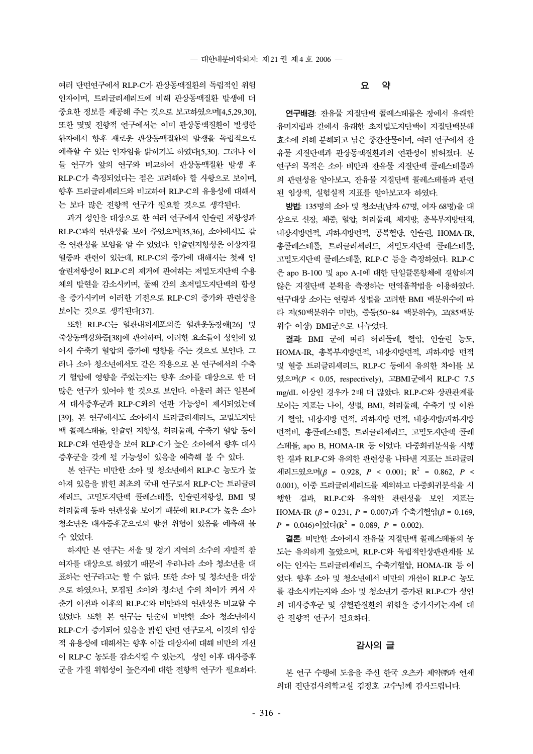여러 단면연구에서 RLP-C가 관상동맥질환의 독립적인 위험 인자이며, 트리글리세리드에 비해 관상동맥질환 발생에 더 중요한 정보를 제공해 주는 것으로 보고하였으며[4,5,29,30], 또한 몇몇 전향적 연구에서는 이미 관상동맥질환이 발생한 환자에서 향후 새로운 관상동맥질환의 발생을 독립적으로 예측할 수 있는 인자임을 밝히기도 하였다[5,30]. 그러나 이 들 연구가 앞의 연구와 비교하여 관상동맥질환 발생 후 RLP-C가 측정되었다는 점은 고려해야 할 사항으로 보이며, 향후 트리글리세리드와 비교하여 RLP-C의 유용성에 대해서 는 보다 많은 전향적 연구가 필요할 것으로 생각된다.

과거 성인을 대상으로 한 여러 연구에서 인슐린 저항성과 RLP-C과의 연관성을 보여 주었으며[35,36], 소아에서도 같 은 연관성을 보임을 알 수 있었다. 인슐린저항성은 이상지질 혈증과 관련이 있는데, RLP-C의 증가에 대해서는 첫째 인 슐린저항성이 RLP-C의 제거에 관여하는 저밀도지단백 수용 체의 발현을 감소시키며, 둘째 간의 초저밀도지단백의 합성 을 증가시키며 이러한 기전으로 RLP-C의 증가와 관련성을 보이는 것으로 생각된다[37].

또한 RLP-C는 혈관내피세포의존 혈관운동장애[26] 및 죽상동맥경화증[38]에 관여하며, 이러한 요소들이 성인에 있 어서 수축기 혈압의 증가에 영향을 주는 것으로 보인다. 그 러나 소아 청소년에서도 같은 작용으로 본 연구에서의 수축 기 혈압에 영향을 주었는지는 향후 소아를 대상으로 한 더 많은 연구가 있어야 할 것으로 보인다. 아울러 최근 일본에 서 대사증후군과 RLP-C와의 연관 가능성이 제시되었는데 [39], 본 연구에서도 소아에서 트리글리세리드, 고밀도지단 백 콜레스테롤, 인슐린 저항성, 허리둘레, 수축기 혈압 등이 RLP-C와 연관성을 보여 RLP-C가 높은 소아에서 향후 대사 증후군을 갖게 될 가능성이 있음을 예측해 볼 수 있다.

본 연구는 비만한 소아 및 청소년에서 RLP-C 농도가 높 아져 있음을 밝힌 최초의 국내 연구로서 RLP-C는 트리글리 세리드, 고밀도지단백 콜레스테롤, 인슐린저항성, BMI 및 허리둘레 등과 연관성을 보이기 때문에 RLP-C가 높은 소아 청소년은 대사증후군으로의 발전 위험이 있음을 예측해 볼 수 있었다.

하지만 본 연구는 서울 및 경기 지역의 소수의 자발적 참 여자를 대상으로 하였기 때문에 우리나라 소아 청소년을 대 표하는 연구라고는 할 수 없다. 또한 소아 및 청소년을 대상 으로 하였으나, 모집된 소아와 청소년 수의 차이가 커서 사 춘기 이전과 이후의 RLP-C와 비만과의 연관성은 비교할 수 없었다. 또한 본 연구는 단순히 비만한 소아 청소년에서 RLP-C가 증가되어 있음을 밝힌 단면 연구로서, 이것의 임상 적 유용성에 대해서는 향후 이들 대상자에 대해 비만의 개선 이 RLP-C 농도를 감소시킬 수 있는지, 성인 이후 대사증후 군을 가질 위험성이 높은지에 대한 전향적 연구가 필요하다.

#### 요 약

연구배경: 잔유물 지질단백 콜레스테롤은 장에서 유래한 유미지립과 간에서 유래한 초저밀도지단백이 지질단백분해 효소에 의해 분해되고 남은 중간산물이며, 여러 연구에서 잔 유물 지질단백과 관상동맥질환과의 연관성이 밝혀졌다. 본 연구의 목적은 소아 비만과 잔유물 지질단백 콜레스테롤과 의 관련성을 알아보고, 잔유물 지질단백 콜레스테롤과 관련 된 임상적, 실험실적 지표를 알아보고자 하였다.

방법: 135명의 소아 및 청소년(남자 67명, 여자 68명)을 대 상으로 신장, 체중, 혈압, 허리둘레, 체지방, 총복부지방면적, 내장지방면적, 피하지방면적, 공복혈당, 인슐린, HOMA-IR, 총콜레스테롤, 트리글리세리드, 저밀도지단백 콜레스테롤, 고밀도지단백 콜레스테롤, RLP-C 등을 측정하였다. RLP-C 은 apo B-100 및 apo A-I에 대한 단일클론항체에 결합하지 않은 지질단백 분획을 측정하는 면역흡착법을 이용하였다. 연구대상 소아는 연령과 성별을 고려한 BMI 백분위수에 따 라 저(50백분위수 미만), 중등(50~84 백분위수), 고(85백분 위수 이상) BMI군으로 나누었다.

결과: BMI 군에 따라 허리둘레, 혈압, 인슐린 농도, HOMA-IR, 총복부지방면적, 내장지방면적, 피하지방 면적 및 혈중 트리글리세리드, RLP-C 등에서 유의한 차이를 보 였으며(*P* < 0.05, respectively), 고BMI군에서 RLP-C 7.5 mg/dL 이상인 경우가 2배 더 많았다. RLP-C와 상관관계를 보이는 지표는 나이, 성별, BMI, 허리둘레, 수축기 및 이완 기 혈압, 내장지방 면적, 피하지방 면적, 내장지방/피하지방 면적비, 총콜레스테롤, 트리글리세리드, 고밀도지단백 콜레 스테롤, apo B, HOMA-IR 등 이었다. 다중회귀분석을 시행 한 결과 RLP-C와 유의한 관련성을 나타낸 지표는 트리글리 세리드였으며( $\beta$  = 0.928,  $P < 0.001$ ; R<sup>2</sup> = 0.862, P < 0.001), 이중 트리글리세리드를 제외하고 다중회귀분석을 시 행한 결과, RLP-C와 유의한 관련성을 보인 지표는 HOMA-IR  $(β = 0.231, P = 0.007)$ 과 수축기혈압 $(β = 0.169,$  $P = 0.046$ )이었다( $\mathbb{R}^2 = 0.089$ ,  $P = 0.002$ ).

결론: 비만한 소아에서 잔유물 지질단백 콜레스테롤의 농 도는 유의하게 높았으며, RLP-C와 독립적인상관관계를 보 이는 인자는 트리글리세리드, 수축기혈압, HOMA-IR 등 이 었다. 향후 소아 및 청소년에서 비만의 개선이 RLP-C 농도 를 감소시키는지와 소아 및 청소년기 증가된 RLP-C가 성인 의 대사증후군 및 심혈관질환의 위험을 증가시키는지에 대 한 전향적 연구가 필요하다.

#### 감사의 글

본 연구 수행에 도움을 주신 한국 오츠카 제약㈜과 연세 의대 진단검사의학교실 김정호 교수님께 감사드립니다.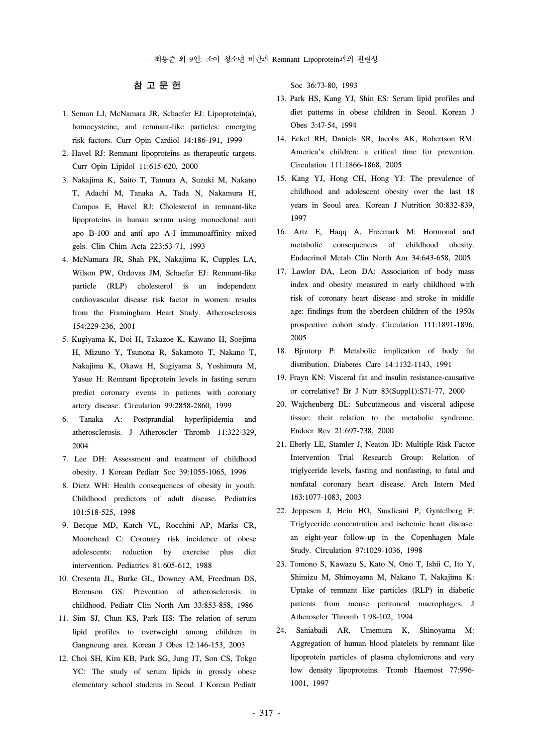- 최용준 외 9인: 소아 청소년 비만과 Remnant Lipoprotein과의 관련성 -

# 참 고 문 헌

- 1. Seman LJ, McNamara JR, Schaefer EJ: Lipoprotein(a), homocysteine, and remnant-like particles: emerging risk factors. Curr Opin Cardiol 14:186-191, 1999
- 2. Havel RJ: Remnant lipoproteins as therapeutic targets. Curr Opin Lipidol 11:615-620, 2000
- 3. Nakajima K, Saito T, Tamura A, Suzuki M, Nakano T, Adachi M, Tanaka A, Tada N, Nakamura H, Campos E, Havel RJ: Cholesterol in remnant-like lipoproteins in human serum using monoclonal anti apo B-100 and anti apo A-I immunoaffinity mixed gels. Clin Chim Acta 223:53-71, 1993
- 4. McNamara JR, Shah PK, Nakajima K, Cupples LA, Wilson PW, Ordovas JM, Schaefer EJ: Remnant-like particle (RLP) cholesterol is an independent cardiovascular disease risk factor in women: results from the Framingham Heart Study. Atherosclerosis 154:229-236, 2001
- 5. Kugiyama K, Doi H, Takazoe K, Kawano H, Soejima H, Mizuno Y, Tsunona R, Sakamoto T, Nakano T, Nakajima K, Okawa H, Sugiyama S, Yoshimura M, Yasue H: Remnant lipoprotein levels in fasting serum predict coronary events in patients with coronary artery disease. Circulation 99:2858-2860, 1999
- 6. Tanaka A: Postprandial hyperlipidemia and atherosclerosis. J Atheroscler Thromb 11:322-329, 2004
- 7. Lee DH: Assessment and treatment of childhood obesity. J Korean Pediatr Soc 39:1055-1065, 1996
- 8. Dietz WH: Health consequences of obesity in youth: Childhood predictors of adult disease. Pediatrics 101:518-525, 1998
- 9. Becque MD, Katch VL, Rocchini AP, Marks CR, Moorehead C: Coronary risk incidence of obese adolescents: reduction by exercise plus diet intervention. Pediatrics 81:605-612, 1988
- 10. Cresenta JL, Burke GL, Downey AM, Freedman DS, Berenson GS: Prevention of atherosclerosis in childhood. Pediatr Clin North Am 33:853-858, 1986
- 11. Sim SJ, Chun KS, Park HS: The relation of serum lipid profiles to overweight among children in Gangneung area. Korean J Obes 12:146-153, 2003
- 12. Choi SH, Kim KB, Park SG, Jung JT, Son CS, Tokgo YC: The study of serum lipids in grossly obese elementary school students in Seoul. J Korean Pediatr

Soc 36:73-80, 1993

- 13. Park HS, Kang YJ, Shin ES: Serum lipid profiles and diet patterns in obese children in Seoul. Korean J Obes 3:47-54, 1994
- 14. Eckel RH, Daniels SR, Jacobs AK, Robertson RM: America's children: a critical time for prevention. Circulation 111:1866-1868, 2005
- 15. Kang YJ, Hong CH, Hong YJ: The prevalence of childhood and adolescent obesity over the last 18 years in Seoul area. Korean J Nutrition 30:832-839, 1997
- 16. Artz E, Haqq A, Freemark M: Hormonal and metabolic consequences of childhood obesity. Endocrinol Metab Clin North Am 34:643-658, 2005
- 17. Lawlor DA, Leon DA: Association of body mass index and obesity measured in early childhood with risk of coronary heart disease and stroke in middle age: findings from the aberdeen children of the 1950s prospective cohort study. Circulation 111:1891-1896, 2005
- 18. Bjrntorp P: Metabolic implication of body fat distribution. Diabetes Care 14:1132-1143, 1991
- 19. Frayn KN: Visceral fat and insulin resistance-causative or correlative? Br J Nutr 83(Suppl1):S71-77, 2000
- 20. Wajchenberg BL: Subcutaneous and visceral adipose tissue: their relation to the metabolic syndrome. Endocr Rev 21:697-738, 2000
- 21. Eberly LE, Stamler J, Neaton JD: Multiple Risk Factor Intervention Trial Research Group: Relation of triglyceride levels, fasting and nonfasting, to fatal and nonfatal coronary heart disease. Arch Intern Med 163:1077-1083, 2003
- 22. Jeppesen J, Hein HO, Suadicani P, Gyntelberg F: Triglyceride concentration and ischemic heart disease: an eight-year follow-up in the Copenhagen Male Study. Circulation 97:1029-1036, 1998
- 23. Tomono S, Kawazu S, Kato N, Ono T, Ishii C, Ito Y, Shimizu M, Shimoyama M, Nakano T, Nakajima K: Uptake of remnant like particles (RLP) in diabetic patients from mouse peritoneal macrophages. J Atheroscler Thromb 1:98-102, 1994
- 24. Saniabadi AR, Umemura K, Shinoyama M: Aggregation of human blood platelets by remnant like lipoprotein particles of plasma chylomicrons and very low density lipoproteins. Tromb Haemost 77:996- 1001, 1997